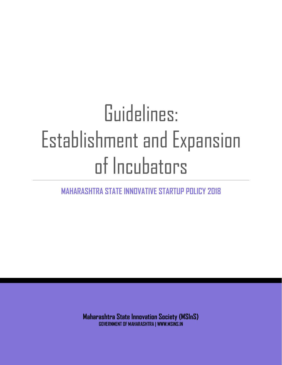# Guidelines: Establishment and Expansion of Incubators

**MAHARASHTRA STATE INNOVATIVE STARTUP POLICY 2018**

**Maharashtra State Innovation Society (MSInS) GOVERNMENT OF MAHARASHTRA | WWW.MSINS.IN**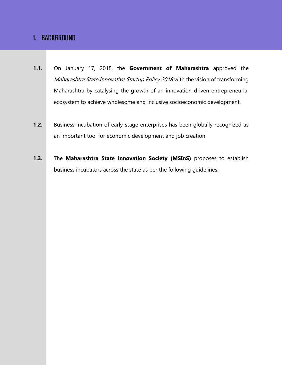# **1. BACKGROUND**

- **1.1.** On January 17, 2018, the **Government of Maharashtra** approved the Maharashtra State Innovative Startup Policy 2018 with the vision of transforming Maharashtra by catalysing the growth of an innovation-driven entrepreneurial ecosystem to achieve wholesome and inclusive socioeconomic development.
- **1.2.** Business incubation of early-stage enterprises has been globally recognized as an important tool for economic development and job creation.
- **1.3.** The **Maharashtra State Innovation Society (MSInS)** proposes to establish business incubators across the state as per the following guidelines.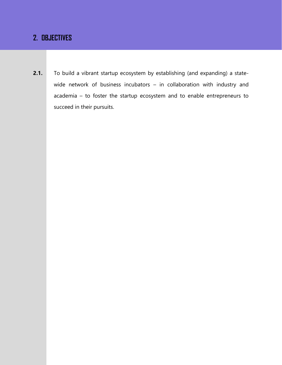# **2. OBJECTIVES**

**2.1.** To build a vibrant startup ecosystem by establishing (and expanding) a statewide network of business incubators – in collaboration with industry and academia – to foster the startup ecosystem and to enable entrepreneurs to succeed in their pursuits.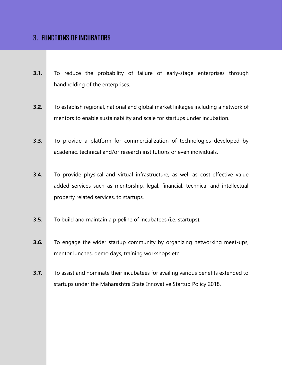## **3. FUNCTIONS OF INCUBATORS**

- **3.1.** To reduce the probability of failure of early-stage enterprises through handholding of the enterprises.
- **3.2.** To establish regional, national and global market linkages including a network of mentors to enable sustainability and scale for startups under incubation.
- **3.3.** To provide a platform for commercialization of technologies developed by academic, technical and/or research institutions or even individuals.
- **3.4.** To provide physical and virtual infrastructure, as well as cost-effective value added services such as mentorship, legal, financial, technical and intellectual property related services, to startups.
- **3.5.** To build and maintain a pipeline of incubatees (i.e. startups).
- **3.6.** To engage the wider startup community by organizing networking meet-ups, mentor lunches, demo days, training workshops etc.
- **3.7.** To assist and nominate their incubatees for availing various benefits extended to startups under the Maharashtra State Innovative Startup Policy 2018.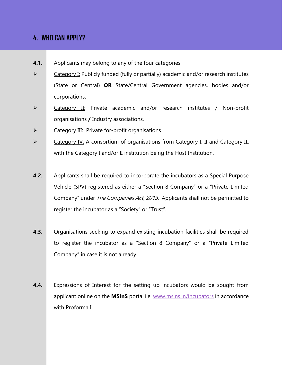# **4. WHO CAN APPLY?**

- **4.1.** Applicants may belong to any of the four categories:
- ➢ Category I: Publicly funded (fully or partially) academic and/or research institutes (State or Central) **OR** State/Central Government agencies, bodies and/or corporations.
- ➢ Category II: Private academic and/or research institutes / Non-profit organisations **/** Industry associations.
- ➢ Category III: Private for-profit organisations
- ➢ Category IV: A consortium of organisations from Category I, II and Category III with the Category I and/or II institution being the Host Institution.
- **4.2.** Applicants shall be required to incorporate the incubators as a Special Purpose Vehicle (SPV) registered as either a "Section 8 Company" or a "Private Limited Company" under *The Companies Act, 2013*. Applicants shall not be permitted to register the incubator as a "Society" or "Trust".
- **4.3.** Organisations seeking to expand existing incubation facilities shall be required to register the incubator as a "Section 8 Company" or a "Private Limited Company" in case it is not already.
- **4.4.** Expressions of Interest for the setting up incubators would be sought from applicant online on the **MSInS** portal i.e. [www.msins.in/incubators](http://www.msins.in/incubators) in accordance with Proforma I.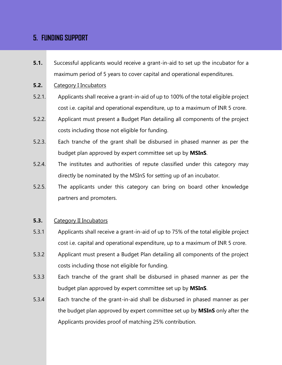# **5. FUNDING SUPPORT**

- **5.1.** Successful applicants would receive a grant-in-aid to set up the incubator for a maximum period of 5 years to cover capital and operational expenditures.
- **5.2.** Category I Incubators
- 5.2.1. Applicants shall receive a grant-in-aid of up to 100% of the total eligible project cost i.e. capital and operational expenditure, up to a maximum of INR 5 crore.
- 5.2.2. Applicant must present a Budget Plan detailing all components of the project costs including those not eligible for funding.
- 5.2.3. Each tranche of the grant shall be disbursed in phased manner as per the budget plan approved by expert committee set up by **MSInS**.
- 5.2.4. The institutes and authorities of repute classified under this category may directly be nominated by the MSInS for setting up of an incubator.
- 5.2.5. The applicants under this category can bring on board other knowledge partners and promoters.

### **5.3.** Category II Incubators

- 5.3.1 Applicants shall receive a grant-in-aid of up to 75% of the total eligible project cost i.e. capital and operational expenditure, up to a maximum of INR 5 crore.
- 5.3.2 Applicant must present a Budget Plan detailing all components of the project costs including those not eligible for funding.
- 5.3.3 Each tranche of the grant shall be disbursed in phased manner as per the budget plan approved by expert committee set up by **MSInS**.
- 5.3.4 Each tranche of the grant-in-aid shall be disbursed in phased manner as per the budget plan approved by expert committee set up by **MSInS** only after the Applicants provides proof of matching 25% contribution.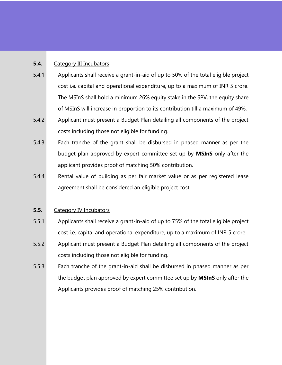## **5.4.** Category III Incubators

- 5.4.1 Applicants shall receive a grant-in-aid of up to 50% of the total eligible project cost i.e. capital and operational expenditure, up to a maximum of INR 5 crore. The MSInS shall hold a minimum 26% equity stake in the SPV, the equity share of MSInS will increase in proportion to its contribution till a maximum of 49%.
- 5.4.2 Applicant must present a Budget Plan detailing all components of the project costs including those not eligible for funding.
- 5.4.3 Each tranche of the grant shall be disbursed in phased manner as per the budget plan approved by expert committee set up by **MSInS** only after the applicant provides proof of matching 50% contribution.
- 5.4.4 Rental value of building as per fair market value or as per registered lease agreement shall be considered an eligible project cost.

## **5.5.** Category IV Incubators

- 5.5.1 Applicants shall receive a grant-in-aid of up to 75% of the total eligible project cost i.e. capital and operational expenditure, up to a maximum of INR 5 crore.
- 5.5.2 Applicant must present a Budget Plan detailing all components of the project costs including those not eligible for funding.
- 5.5.3 Each tranche of the grant-in-aid shall be disbursed in phased manner as per the budget plan approved by expert committee set up by **MSInS** only after the Applicants provides proof of matching 25% contribution.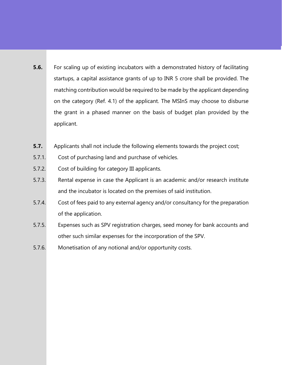- **5.6.** For scaling up of existing incubators with a demonstrated history of facilitating startups, a capital assistance grants of up to INR 5 crore shall be provided. The matching contribution would be required to be made by the applicant depending on the category (Ref. 4.1) of the applicant. The MSInS may choose to disburse the grant in a phased manner on the basis of budget plan provided by the applicant.
- **5.7.** Applicants shall not include the following elements towards the project cost;
- 5.7.1. Cost of purchasing land and purchase of vehicles.
- 5.7.2. Cost of building for category III applicants.
- 5.7.3. Rental expense in case the Applicant is an academic and/or research institute and the incubator is located on the premises of said institution.
- 5.7.4. Cost of fees paid to any external agency and/or consultancy for the preparation of the application.
- 5.7.5. Expenses such as SPV registration charges, seed money for bank accounts and other such similar expenses for the incorporation of the SPV.
- 5.7.6. Monetisation of any notional and/or opportunity costs.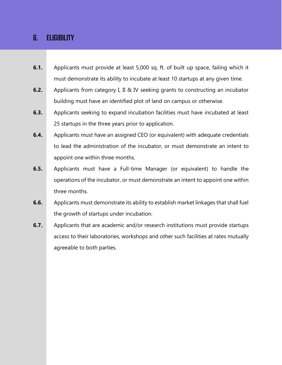## **6. ELIGIBILITY**

- **6.1.** Applicants must provide at least 5,000 sq. ft. of built up space, failing which it must demonstrate its ability to incubate at least 10 startups at any given time.
- **6.2.** Applicants from category I, II & IV seeking grants to constructing an incubator building must have an identified plot of land on campus or otherwise.
- **6.3.** Applicants seeking to expand incubation facilities must have incubated at least 25 startups in the three years prior to application.
- **6.4.** Applicants must have an assigned CEO (or equivalent) with adequate credentials to lead the administration of the incubator, or must demonstrate an intent to appoint one within three months.
- **6.5.** Applicants must have a Full-time Manager (or equivalent) to handle the operations of the incubator, or must demonstrate an intent to appoint one within three months.
- **6.6.** Applicants must demonstrate its ability to establish market linkages that shall fuel the growth of startups under incubation.
- **6.7.** Applicants that are academic and/or research institutions must provide startups access to their laboratories, workshops and other such facilities at rates mutually agreeable to both parties.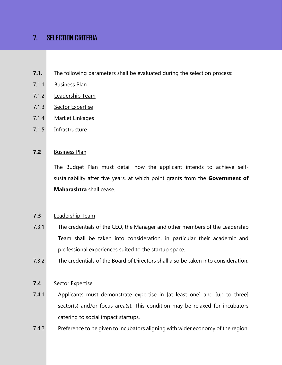# **7. SELECTION CRITERIA**

- **7.1.** The following parameters shall be evaluated during the selection process:
- 7.1.1 Business Plan
- 7.1.2 Leadership Team
- 7.1.3 Sector Expertise
- 7.1.4 Market Linkages
- 7.1.5 Infrastructure

## **7.2** Business Plan

The Budget Plan must detail how the applicant intends to achieve selfsustainability after five years, at which point grants from the **Government of Maharashtra** shall cease.

## **7.3** Leadership Team

- 7.3.1 The credentials of the CEO, the Manager and other members of the Leadership Team shall be taken into consideration, in particular their academic and professional experiences suited to the startup space.
- 7.3.2 The credentials of the Board of Directors shall also be taken into consideration.

### **7.4** Sector Expertise

- 7.4.1 Applicants must demonstrate expertise in [at least one] and [up to three] sector(s) and/or focus area(s). This condition may be relaxed for incubators catering to social impact startups.
- 7.4.2 Preference to be given to incubators aligning with wider economy of the region.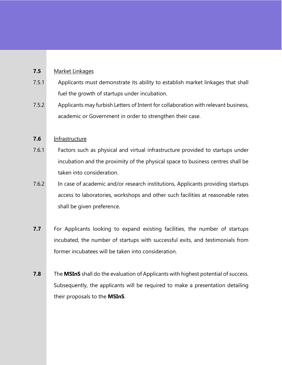## **7.5** Market Linkages

- 7.5.1 Applicants must demonstrate its ability to establish market linkages that shall fuel the growth of startups under incubation.
- 7.5.2 Applicants may furbish Letters of Intent for collaboration with relevant business, academic or Government in order to strengthen their case.

## **7.6** Infrastructure

- 7.6.1 Factors such as physical and virtual infrastructure provided to startups under incubation and the proximity of the physical space to business centres shall be taken into consideration.
- 7.6.2 In case of academic and/or research institutions, Applicants providing startups access to laboratories, workshops and other such facilities at reasonable rates shall be given preference.
- **7.7** For Applicants looking to expand existing facilities, the number of startups incubated, the number of startups with successful exits, and testimonials from former incubatees will be taken into consideration.
- **7.8** The **MSInS** shall do the evaluation of Applicants with highest potential of success. Subsequently, the applicants will be required to make a presentation detailing their proposals to the **MSInS**.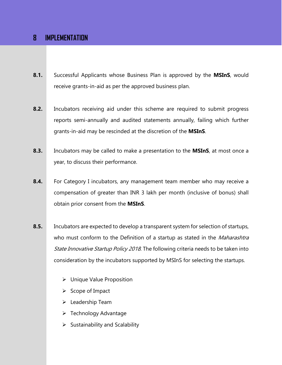## **8 IMPLEMENTATION**

- **8.1.** Successful Applicants whose Business Plan is approved by the **MSInS**, would receive grants-in-aid as per the approved business plan.
- **8.2.** Incubators receiving aid under this scheme are required to submit progress reports semi-annually and audited statements annually, failing which further grants-in-aid may be rescinded at the discretion of the **MSInS**.
- **8.3.** Incubators may be called to make a presentation to the **MSInS**, at most once a year, to discuss their performance.
- **8.4.** For Category I incubators, any management team member who may receive a compensation of greater than INR 3 lakh per month (inclusive of bonus) shall obtain prior consent from the **MSInS**.
- **8.5.** Incubators are expected to develop a transparent system for selection of startups, who must conform to the Definition of a startup as stated in the *Maharashtra* State Innovative Startup Policy 2018. The following criteria needs to be taken into consideration by the incubators supported by MSInS for selecting the startups.
	- ➢ Unique Value Proposition
	- ➢ Scope of Impact
	- ➢ Leadership Team
	- ➢ Technology Advantage
	- $\triangleright$  Sustainability and Scalability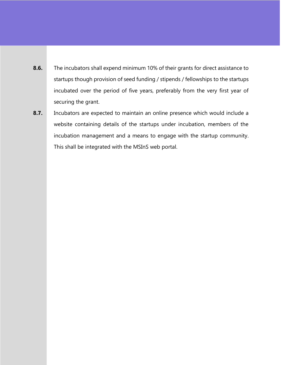- **8.6.** The incubators shall expend minimum 10% of their grants for direct assistance to startups though provision of seed funding / stipends / fellowships to the startups incubated over the period of five years, preferably from the very first year of securing the grant.
- **8.7.** Incubators are expected to maintain an online presence which would include a website containing details of the startups under incubation, members of the incubation management and a means to engage with the startup community. This shall be integrated with the MSInS web portal.